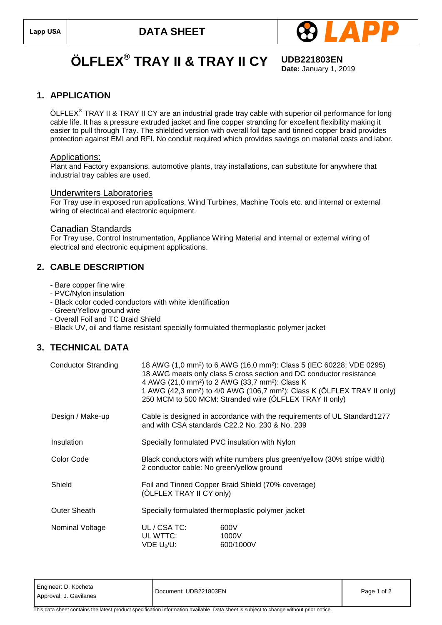

# **ÖLFLEX® TRAY II & TRAY II CY UDB221803EN**

**Date:** January 1, 2019

## **1. APPLICATION**

ÖLFLEX<sup>®</sup> TRAY II & TRAY II CY are an industrial grade tray cable with superior oil performance for long cable life. It has a pressure extruded jacket and fine copper stranding for excellent flexibility making it easier to pull through Tray. The shielded version with overall foil tape and tinned copper braid provides protection against EMI and RFI. No conduit required which provides savings on material costs and labor.

#### Applications:

Plant and Factory expansions, automotive plants, tray installations, can substitute for anywhere that industrial tray cables are used.

#### Underwriters Laboratories

For Tray use in exposed run applications, Wind Turbines, Machine Tools etc. and internal or external wiring of electrical and electronic equipment.

#### Canadian Standards

For Tray use, Control Instrumentation, Appliance Wiring Material and internal or external wiring of electrical and electronic equipment applications.

## **2. CABLE DESCRIPTION**

- Bare copper fine wire
- PVC/Nylon insulation
- Black color coded conductors with white identification
- Green/Yellow ground wire
- Overall Foil and TC Braid Shield
- Black UV, oil and flame resistant specially formulated thermoplastic polymer jacket

## **3. TECHNICAL DATA**

| <b>Conductor Stranding</b> |                                                                                                                            | 18 AWG (1,0 mm <sup>2</sup> ) to 6 AWG (16,0 mm <sup>2</sup> ): Class 5 (IEC 60228; VDE 0295)<br>18 AWG meets only class 5 cross section and DC conductor resistance<br>4 AWG (21,0 mm <sup>2</sup> ) to 2 AWG (33,7 mm <sup>2</sup> ): Class K<br>1 AWG (42,3 mm <sup>2</sup> ) to 4/0 AWG (106,7 mm <sup>2</sup> ): Class K (OLFLEX TRAY II only)<br>250 MCM to 500 MCM: Stranded wire (ÖLFLEX TRAY II only) |  |
|----------------------------|----------------------------------------------------------------------------------------------------------------------------|----------------------------------------------------------------------------------------------------------------------------------------------------------------------------------------------------------------------------------------------------------------------------------------------------------------------------------------------------------------------------------------------------------------|--|
| Design / Make-up           | Cable is designed in accordance with the requirements of UL Standard1277<br>and with CSA standards C22.2 No. 230 & No. 239 |                                                                                                                                                                                                                                                                                                                                                                                                                |  |
| Insulation                 | Specially formulated PVC insulation with Nylon                                                                             |                                                                                                                                                                                                                                                                                                                                                                                                                |  |
| Color Code                 | Black conductors with white numbers plus green/yellow (30% stripe width)<br>2 conductor cable: No green/yellow ground      |                                                                                                                                                                                                                                                                                                                                                                                                                |  |
| Shield                     | Foil and Tinned Copper Braid Shield (70% coverage)<br>(ÖLFLEX TRAY II CY only)                                             |                                                                                                                                                                                                                                                                                                                                                                                                                |  |
| <b>Outer Sheath</b>        | Specially formulated thermoplastic polymer jacket                                                                          |                                                                                                                                                                                                                                                                                                                                                                                                                |  |
| Nominal Voltage            | UL / CSA TC:<br>UL WTTC:<br>$VDE U0/U$ :                                                                                   | 600V<br>1000V<br>600/1000V                                                                                                                                                                                                                                                                                                                                                                                     |  |